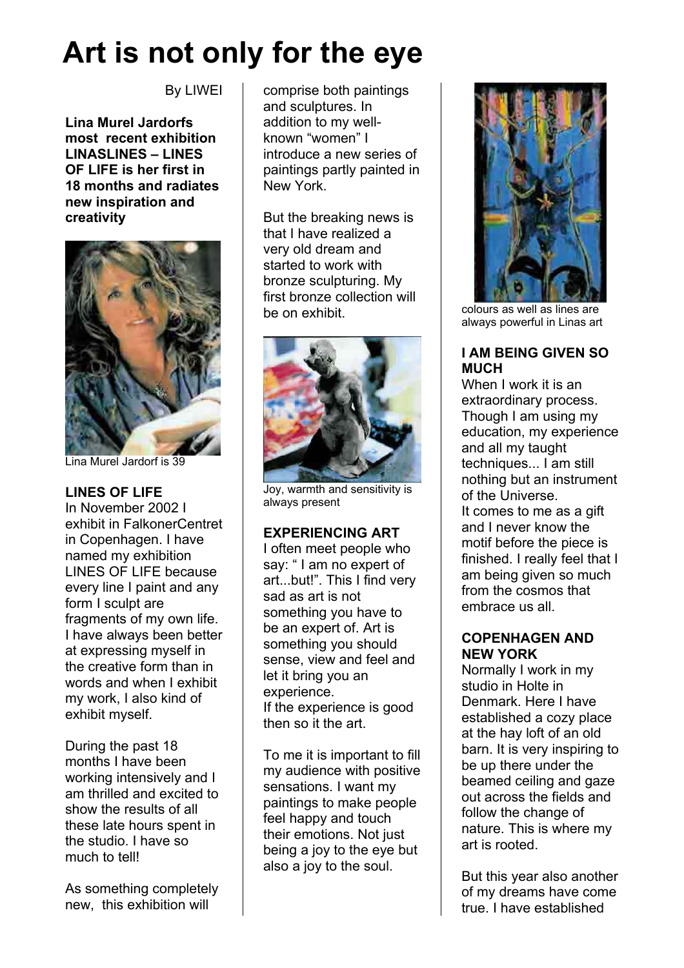# **Art is not only for the eye**

By LIWEI

**Lina Murel Jardorfs most recent exhibition LINASLINES – LINES OF LIFE is her first in 18 months and radiates new inspiration and creativity**



Lina Murel Jardorf is 39

### **LINES OF LIFE**

In November 2002 I exhibit in FalkonerCentret in Copenhagen. I have named my exhibition LINES OF LIFE because every line I paint and any form I sculpt are fragments of my own life. I have always been better at expressing myself in the creative form than in words and when I exhibit my work, I also kind of exhibit myself.

During the past 18 months I have been working intensively and I am thrilled and excited to show the results of all these late hours spent in the studio. I have so much to tell!

As something completely new, this exhibition will

comprise both paintings and sculptures. In addition to my wellknown "women" I introduce a new series of paintings partly painted in New York.

But the breaking news is that I have realized a very old dream and started to work with bronze sculpturing. My first bronze collection will be on exhibit.



Joy, warmth and sensitivity is always present

# **EXPERIENCING ART**

I often meet people who say: " I am no expert of art...but!". This I find very sad as art is not something you have to be an expert of. Art is something you should sense, view and feel and let it bring you an experience. If the experience is good then so it the art.

To me it is important to fill my audience with positive sensations. I want my paintings to make people feel happy and touch their emotions. Not just being a joy to the eye but also a joy to the soul.



colours as well as lines are always powerful in Linas art

# **I AM BEING GIVEN SO MUCH**

When I work it is an extraordinary process. Though I am using my education, my experience and all my taught techniques... I am still nothing but an instrument of the Universe. It comes to me as a gift and I never know the motif before the piece is finished. I really feel that I am being given so much from the cosmos that embrace us all.

### **COPENHAGEN AND NEW YORK**

Normally I work in my studio in Holte in Denmark. Here I have established a cozy place at the hay loft of an old barn. It is very inspiring to be up there under the beamed ceiling and gaze out across the fields and follow the change of nature. This is where my art is rooted.

But this year also another of my dreams have come true. I have established